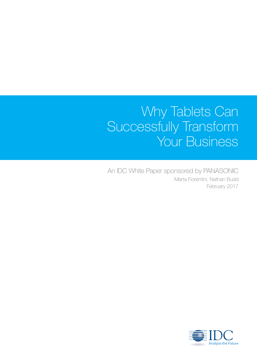### Why Tablets Can Successfully Transform Your Business

An IDC White Paper sponsored by PANASONIC Marta Fiorentini, Nathan Budd February 2017

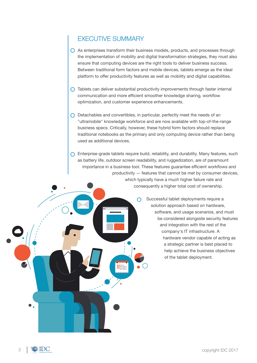### EXECUTIVE SUMMARY

- $\bigcirc$  As enterprises transform their business models, products, and processes through the implementation of mobility and digital transformation strategies, they must also ensure that computing devices are the right tools to deliver business success. Between traditional form factors and mobile devices, tablets emerge as the ideal platform to offer productivity features as well as mobility and digital capabilities.
- $\bigcap$  Tablets can deliver substantial productivity improvements through faster internal communication and more efficient smoother knowledge sharing, workflow optimization, and customer experience enhancements.
- $\bigcap$  Detachables and convertibles, in particular, perfectly meet the needs of an "ultramobile" knowledge workforce and are now available with top-of-the-range business specs. Critically, however, these hybrid form factors should replace traditional notebooks as the primary and only computing device rather than being used as additional devices.
- $\bigcap$  Enterprise-grade tablets require build, reliability, and durability. Many features, such as battery life, outdoor screen readability, and ruggedization, are of paramount importance in a business tool. These features guarantee efficient workflows and productivity — features that cannot be met by consumer devices, which typically have a much higher failure rate and consequently a higher total cost of ownership.

 $\bigcirc$ 

Successful tablet deployments require a solution approach based on hardware, software, and usage scenarios, and must be considered alongside security features and integration with the rest of the company's IT infrastructure. A hardware vendor capable of acting as a strategic partner is best placed to help achieve the business objectives of the tablet deployment.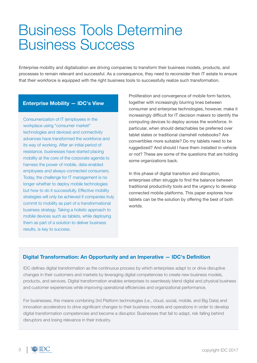## Business Tools Determine Business Success

Enterprise mobility and digitalization are driving companies to transform their business models, products, and processes to remain relevant and successful. As a consequence, they need to reconsider their IT estate to ensure that their workforce is equipped with the right business tools to successfully realize such transformation.

#### **Enterprise Mobility — IDC's View**

Consumerization of IT (employees in the workplace using "consumer market" technologies and devices) and connectivity advances have transformed the workforce and its way of working. After an initial period of resistance, businesses have started placing mobility at the core of the corporate agenda to harness the power of mobile, data-enabled employees and always-connected consumers. Today, the challenge for IT management is no longer whether to deploy mobile technologies but how to do it successfully. Effective mobility strategies will only be achieved if companies truly commit to mobility as part of a transformational business strategy. Taking a holistic approach to mobile devices such as tablets, while deploying them as part of a solution to deliver business results, is key to success.

Proliferation and convergence of mobile form factors, together with increasingly blurring lines between consumer and enterprise technologies, however, make it increasingly difficult for IT decision makers to identify the computing devices to deploy across the workforce. In particular, when should detachables be preferred over tablet slates or traditional clamshell notebooks? Are convertibles more suitable? Do my tablets need to be ruggedized? And should I have them installed in-vehicle or not? These are some of the questions that are holding some organizations back.

In this phase of digital transition and disruption, enterprises often struggle to find the balance between traditional productivity tools and the urgency to develop connected mobile platforms. This paper explores how tablets can be the solution by offering the best of both worlds.

#### **Digital Transformation: An Opportunity and an Imperative — IDC's Definition**

IDC defines digital transformation as the continuous process by which enterprises adapt to or drive disruptive changes in their customers and markets by leveraging digital competencies to create new business models, products, and services. Digital transformation enables enterprises to seamlessly blend digital and physical business and customer experiences while improving operational efficiencies and organizational performance.

For businesses, this means combining 3rd Platform technologies (i.e., cloud, social, mobile, and Big Data) and innovation accelerators to drive significant changes to their business models and operations in order to develop digital transformation competencies and become a disruptor. Businesses that fail to adapt, risk falling behind disruptors and losing relevance in their industry.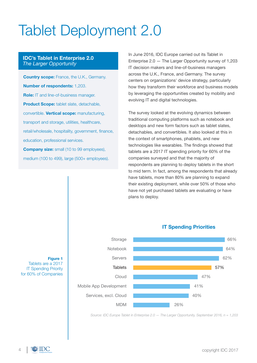# Tablet Deployment 2.0

#### **IDC's Tablet in Enterprise 2.0** *The Larger Opportunity*

**Country scope:** France, the U.K., Germany. **Number of respondents:** 1,203. **Role:** IT and line-of-business manager. **Product Scope:** tablet slate, detachable, convertible. **Vertical scope:** manufacturing, transport and storage, utilities, healthcare, retail/wholesale, hospitality, government, finance, education, professional services. **Company size:** small (10 to 99 employees), medium (100 to 499), large (500+ employees).

In June 2016, IDC Europe carried out its Tablet in Enterprise 2.0 — The Larger Opportunity survey of 1,203 IT decision makers and line-of-business managers across the U.K., France, and Germany. The survey centers on organizations' device strategy, particularly how they transform their workforce and business models by leveraging the opportunities created by mobility and evolving IT and digital technologies.

The survey looked at the evolving dynamics between traditional computing platforms such as notebook and desktops and new form factors such as tablet slates, detachables, and convertibles. It also looked at this in the context of smartphones, phablets, and new technologies like wearables. The findings showed that tablets are a 2017 IT spending priority for 60% of the companies surveyed and that the majority of respondents are planning to deploy tablets in the short to mid term. In fact, among the respondents that already have tablets, more than 80% are planning to expand their existing deployment, while over 50% of those who have not yet purchased tablets are evaluating or have plans to deploy.



#### **IT Spending Priorities**

*Source: IDC Europe Tablet in Enterprise 2.0 — The Larger Opportunity, September 2016, n = 1,203*

#### **Figure 1** Tablets are a 2017 IT Spending Priority

for 60% of Companies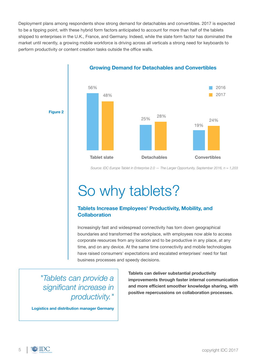Deployment plans among respondents show strong demand for detachables and convertibles. 2017 is expected to be a tipping point, with these hybrid form factors anticipated to account for more than half of the tablets shipped to enterprises in the U.K., France, and Germany. Indeed, while the slate form factor has dominated the market until recently, a growing mobile workforce is driving across all verticals a strong need for keyboards to perform productivity or content creation tasks outside the office walls.



**Growing Demand for Detachables and Convertibles** 

*Source: IDC Europe Tablet in Enterprise 2.0 — The Larger Opportunity, September 2016, n = 1,203*

# So why tablets?

#### **Tablets Increase Employees' Productivity, Mobility, and Collaboration**

Increasingly fast and widespread connectivity has torn down geographical boundaries and transformed the workplace, with employees now able to access corporate resources from any location and to be productive in any place, at any time, and on any device. At the same time connectivity and mobile technologies have raised consumers' expectations and escalated enterprises' need for fast business processes and speedy decisions.

*"Tablets can provide a significant increase in productivity."*

**Logistics and distribution manager Germany**

**Tablets can deliver substantial productivity improvements through faster internal communication and more efficient smoother knowledge sharing, with positive repercussions on collaboration processes.**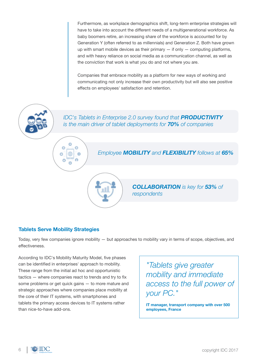Furthermore, as workplace demographics shift, long-term enterprise strategies will have to take into account the different needs of a multigenerational workforce. As baby boomers retire, an increasing share of the workforce is accounted for by Generation Y (often referred to as millennials) and Generation Z. Both have grown up with smart mobile devices as their primary  $-$  if only  $-$  computing platforms, and with heavy reliance on social media as a communication channel, as well as the conviction that work is what you do and not where you are.

Companies that embrace mobility as a platform for new ways of working and communicating not only increase their own productivity but will also see positive effects on employees' satisfaction and retention.



#### **Tablets Serve Mobility Strategies**

Today, very few companies ignore mobility — but approaches to mobility vary in terms of scope, objectives, and effectiveness.

According to IDC's Mobility Maturity Model, five phases can be identified in enterprises' approach to mobility. These range from the initial ad hoc and opportunistic tactics — where companies react to trends and try to fix some problems or get quick gains — to more mature and strategic approaches where companies place mobility at the core of their IT systems, with smartphones and tablets the primary access devices to IT systems rather than nice-to-have add-ons.

*"Tablets give greater mobility and immediate access to the full power of your PC."*

**IT manager, transport company with over 500 employees, France**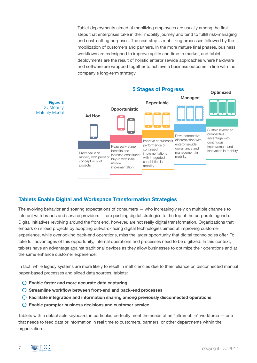Tablet deployments aimed at mobilizing employees are usually among the first steps that enterprises take in their mobility journey and tend to fulfill risk-managing and cost-cutting purposes. The next step is mobilizing processes followed by the mobilization of customers and partners. In the more mature final phases, business workflows are redesigned to improve agility and time to market, and tablet deployments are the result of holistic enterprisewide approaches where hardware and software are wrapped together to achieve a business outcome in line with the company's long-term strategy.



#### **Tablets Enable Digital and Workspace Transformation Strategies**

The evolving behavior and soaring expectations of consumers — who increasingly rely on multiple channels to interact with brands and service providers — are pushing digital strategies to the top of the corporate agenda. Digital initiatives revolving around the front end, however, are not really digital transformation. Organizations that embark on siloed projects by adopting outward-facing digital technologies aimed at improving customer experience, while overlooking back-end operations, miss the larger opportunity that digital technologies offer. To take full advantages of this opportunity, internal operations and processes need to be digitized. In this context, tablets have an advantage against traditional devices as they allow businesses to optimize their operations and at the same enhance customer experience.

In fact, while legacy systems are more likely to result in inefficiencies due to their reliance on disconnected manual paper-based processes and siloed data sources, tablets:

- **Enable faster and more accurate data capturing**
- **Streamline workflow between front-end and back-end processes**
- **Facilitate integration and information sharing among previously disconnected operations**
- **Enable prompter business decisions and customer service**

Tablets with a detachable keyboard, in particular, perfectly meet the needs of an "ultramobile" workforce — one that needs to feed data or information in real time to customers, partners, or other departments within the organization.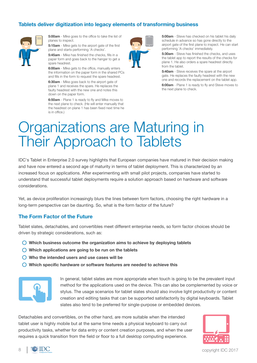#### **Tablets deliver digitization into legacy elements of transforming business**



**5:00am** - Mike goes to the office to take the list of planes to inspect.

**5:15am** - Mike gets to the airport gate of the first plane and starts performing 'A checks'.

**5:45am** - Mike has finished the checks, fills in a paper form and goes back to the hanger to get a spare headrest.

**6:00am** - Mike gets to the office, manually enters the information on the paper form in the shared PCs and fills in the form to request the spare headrest.

**6:30am** - Mike goes back to the airport gate of plane 1 and receives the spare. He replaces the faulty headrest with the new one and notes this down on the paper form.

**6:50am** - Plane 1 is ready to fly and Mike moves to the next plane to check. (He will enter manually that the headrest on plane 1 has been fixed next time he is in office.)



**5:00am** - Steve has checked on his tablet his daily schedule in advance so has gone directly to the airport gate of the first plane to inspect. He can start performing 'A checks' immediately.

**5:30am** - Steve has finished the checks, and uses the tablet app to report the results of the checks for plane 1. He also orders a spare headrest directly from the tablet.

**5:40am** - Steve receives the spare at the airport gate. He replaces the faulty headrest with the new one and records the replacement on the tablet app. **6:00am** - Plane 1 is ready to fly and Steve moves to the next plane to check.

## Organizations are Maturing in Their Approach to Tablets

IDC's Tablet in Enterprise 2.0 survey highlights that European companies have matured in their decision making and have now entered a second age of maturity in terms of tablet deployment. This is characterized by an increased focus on applications. After experimenting with small pilot projects, companies have started to understand that successful tablet deployments require a solution approach based on hardware and software considerations.

Yet, as device proliferation increasingly blurs the lines between form factors, choosing the right hardware in a long-term perspective can be daunting. So, what is the form factor of the future?

#### **The Form Factor of the Future**

Tablet slates, detachables, and convertibles meet different enterprise needs, so form factor choices should be driven by strategic considerations, such as:

- **Which business outcome the organization aims to achieve by deploying tablets**
- **Which applications are going to be run on the tablets**
- **Who the intended users and use cases will be**
- **Which specific hardware or software features are needed to achieve this**



In general, tablet slates are more appropriate when touch is going to be the prevalent input method for the applications used on the device. This can also be complemented by voice or stylus. The usage scenarios for tablet slates should also involve light productivity or content creation and editing tasks that can be supported satisfactorily by digital keyboards. Tablet slates also tend to be preferred for single-purpose or embedded devices.

Detachables and convertibles, on the other hand, are more suitable when the intended tablet user is highly mobile but at the same time needs a physical keyboard to carry out productivity tasks, whether for data entry or content creation purposes, and when the user requires a quick transition from the field or floor to a full desktop computing experience.





 $8 \parallel \equiv \text{IDC}$  copyright IDC 2017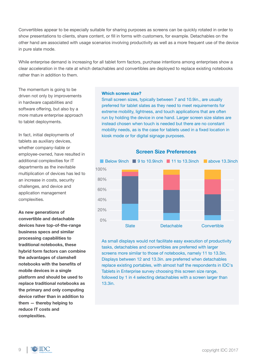Convertibles appear to be especially suitable for sharing purposes as screens can be quickly rotated in order to show presentations to clients, share content, or fill in forms with customers, for example. Detachables on the other hand are associated with usage scenarios involving productivity as well as a more frequent use of the device in pure slate mode.

While enterprise demand is increasing for all tablet form factors, purchase intentions among enterprises show a clear acceleration in the rate at which detachables and convertibles are deployed to replace existing notebooks rather than in addition to them.

The momentum is going to be driven not only by improvements in hardware capabilities and software offering, but also by a more mature enterprise approach to tablet deployments.

In fact, initial deployments of tablets as auxiliary devices, whether company-liable or employee-owned, have resulted in additional complexities for IT departments as the inevitable multiplication of devices has led to an increase in costs, security challenges, and device and application management complexities.

**As new generations of convertible and detachable devices have top-of-the-range business specs and similar processing capabilities to traditional notebooks, these hybrid form factors can combine the advantages of clamshell notebooks with the benefits of mobile devices in a single platform and should be used to replace traditional notebooks as the primary and only computing device rather than in addition to them — thereby helping to reduce IT costs and complexities.**

#### **Which screen size?**

Small screen sizes, typically between 7 and 10.9in., are usually preferred for tablet slates as they need to meet requirements for extreme mobility, lightness, and touch applications that are often run by holding the device in one hand. Larger screen size slates are instead chosen when touch is needed but there are no constant mobility needs, as is the case for tablets used in a fixed location in kiosk mode or for digital signage purposes.



As small displays would not facilitate easy execution of productivity tasks, detachables and convertibles are preferred with larger screens more similar to those of notebooks, namely 11 to 13.3in. Displays between 12 and 13.3in. are preferred when detachables replace existing portables, with almost half the respondents in IDC's Tablets in Enterprise survey choosing this screen size range, followed by 1 in 4 selecting detachables with a screen larger than 13.3in.

**Screen Size Preferences**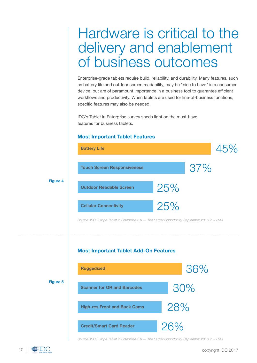### Hardware is critical to the delivery and enablement of business outcomes

Enterprise-grade tablets require build, reliability, and durability. Many features, such as battery life and outdoor screen readability, may be "nice to have" in a consumer device, but are of paramount importance in a business tool to guarantee efficient workflows and productivity. When tablets are used for line-of-business functions, specific features may also be needed.

IDC's Tablet in Enterprise survey sheds light on the must-have features for business tablets.

#### **Most Important Tablet Features**



*Source: IDC Europe Tablet in Enterprise 2.0 — The Larger Opportunity, September 2016 (n = 890)*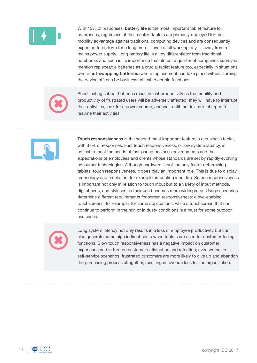

With 45% of responses, **battery life** is the most important tablet feature for enterprises, regardless of their sector. Tablets are primarily deployed for their mobility advantage against traditional computing devices and are consequently expected to perform for a long time — even a full working day — away from a mains power supply. Long battery life is a key differentiator from traditional notebooks and such is its importance that almost a quarter of companies surveyed mention repleceable batteries as a crucial tablet feature too, especially in situations where **hot-swapping batteries** (where replacement can take place without turning the device off) can be business critical to certain functions.



Short-lasting subpar batteries result in lost productivity as the mobility and productivity of frustrated users will be adversely affected: they will have to interrupt their activities, look for a power source, and wait until the device is charged to resume their activities.



**Touch responsiveness** is the second most important feature in a business tablet, with 37% of responses. Fast touch responsiveness, or low system latency, is critical to meet the needs of fast-paced business environments and the expectations of employees and clients whose standards are set by rapidly evolving consumer technologies. Although hardware is not the only factor determining tablets' touch responsiveness, it does play an important role. This is due to display technology and resolution, for example, impacting input lag. Screen responsiveness is important not only in relation to touch input but to a variety of input methods, digital pens, and styluses as their use becomes more widespread. Usage scenarios determine different requirements for screen responsiveness: glove-enabled touchscreens, for example, for some applications, while a touchscreen that can continue to perform in the rain or in dusty conditions is a must for some outdoor use cases.



Long system latency not only results in a loss of employee productivity but can also generate some high indirect costs when tablets are used for customer-facing functions. Slow touch responsiveness has a negative impact on customer experience and in turn on customer satisfaction and retention; even worse, in self-service scenarios, frustrated customers are more likely to give up and abandon the purchasing process altogether, resulting in revenue loss for the organization.

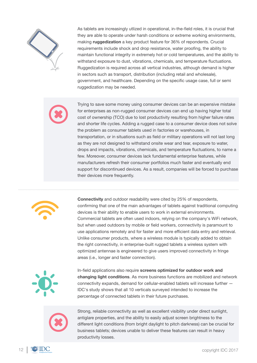

As tablets are increasingly utlized in operational, in-the-field roles, it is crucial that they are able to operate under harsh conditions or extreme working environments, making **ruggedization** a key product feature for 36% of repondents. Crucial requirements include shock and drop resistance, water proofing, the ability to maintain functional integrity in extremely hot or cold temperatures, and the ability to withstand exposure to dust, vibrations, chemicals, and temperature fluctuations. Ruggedization is required across all vertical industries, although demand is higher in sectors such as transport, distribution (including retail and wholesale), government, and healthcare. Depending on the specific usage case, full or semi ruggedization may be needed.

Trying to save some money using consumer devices can be an expensive mistake for enterprises as non-rugged consumer devices can end up having higher total cost of ownership (TCO) due to lost productivity resulting from higher failure rates and shorter life cycles. Adding a rugged case to a consumer device does not solve the problem as consumer tablets used in factories or warehouses, in transportation, or in situations such as field or military operations will not last long as they are not designed to withstand onsite wear and tear, exposure to water, drops and impacts, vibrations, chemicals, and temperature fluctuations, to name a few. Moreover, consumer devices lack fundamental enterprise features, while manufacturers refresh their consumer portfolios much faster and eventually end support for discontinued devices. As a result, companies will be forced to purchase their devices more frequently.



**Connectivity** and outdoor readability were cited by 25% of respondents, confirming that one of the main advantages of tablets against traditional computing devices is their ability to enable users to work in external environments. Commercial tablets are often used indoors, relying on the company's WiFi network, but when used outdoors by mobile or field workers, connectivity is paramount to use applications remotely and for faster and more efficient data entry and retrieval. Unlike consumer products, where a wireless module is typically added to obtain the right connectivity, in enterprise-built rugged tablets a wireless system with optimized antennae is engineered to give users improved connectivity in fringe areas (i.e., longer and faster connection).



In-field applications also require **screens optimized for outdoor work and changing light conditions**. As more business functions are mobilized and network connectivity expands, demand for cellular-enabled tablets will increase further — IDC's study shows that all 10 verticals surveyed intended to increase the percentage of connected tablets in their future purchases.



Strong, reliable connectivity as well as excellent visibility under direct sunlight, antiglare properties, and the ability to easily adjust screen brightness to the different light conditions (from bright daylight to pitch darkness) can be crucial for business tablets; devices unable to deliver these features can result in heavy productivity losses.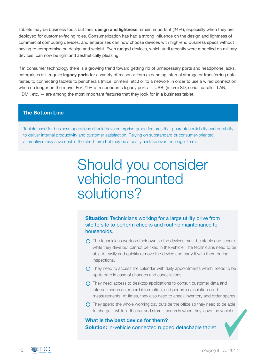Tablets may be business tools but their **design and lightness** remain important (24%), especially when they are deployed for customer-facing roles. Consumerization has had a strong influence on the design and lightness of commercial computing devices, and enterprises can now choose devices with high-end business specs without having to compromise on design and weight. Even rugged devices, which until recently were modelled on military devices, can now be light and aesthetically pleasing.

If in consumer technology there is a growing trend toward getting rid of unnecessary ports and headphone jacks, enterprises still require **legacy ports** for a variety of reasons: from expanding internal storage or transferring data faster, to connecting tablets to peripherals (mice, printers, etc.) or to a network in order to use a wired connection when no longer on the move. For 21% of respondents legacy ports - USB, (micro) SD, serial, parallel, LAN, HDMI, etc. — are among the most important features that they look for in a business tablet.

#### **The Bottom Line**

Tablets used for business operations should have enterprise-grade features that guarantee reliability and durability to deliver internal productivity and customer satisfaction. Relying on substandard or consumer-oriented alternatives may save cost in the short term but may be a costly mistake over the longer term.

### Should you consider vehicle-mounted solutions?

**Situation:** Technicians working for a large utility drive from site to site to perform checks and routine maintenance to households.

- $\bigcap$  The technicians work on their own so the devices must be stable and secure while they drive but cannot be fixed in the vehicle. The technicians need to be able to easily and quickly remove the device and carry it with them during inspections.
- $\bigcap$  They need to access the calendar with daily appointments which needs to be up to date in case of changes and cancellations.
- $\bigcap$  They need access to desktop applications to consult customer data and internal resources, record information, and perform calculations and measurements. At times, they also need to check inventory and order spares.
- $\bigcap$  They spend the whole working day outside the office so they need to be able to charge it while in the car and store it securely when they leave the vehicle.

#### **Solution:** in-vehicle connected rugged detachable tablet **What is the best device for them?**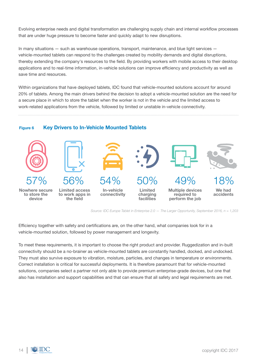Evolving enterprise needs and digital transformation are challenging supply chain and internal workflow processes that are under huge pressure to become faster and quickly adapt to new disruptions.

In many situations — such as warehouse operations, transport, maintenance, and blue light services vehicle-mounted tablets can respond to the challenges created by mobility demands and digital disruptions, thereby extending the company's resources to the field. By providing workers with mobile access to their desktop applications and to real-time information, in-vehicle solutions can improve efficiency and productivity as well as save time and resources.

Within organizations that have deployed tablets, IDC found that vehicle-mounted solutions account for around 20% of tablets. Among the main drivers behind the decision to adopt a vehicle-mounted solution are the need for a secure place in which to store the tablet when the worker is not in the vehicle and the limited access to work-related applications from the vehicle, followed by limited or unstable in-vehicle connectivity.

#### **Key Drivers to In-Vehicle Mounted Tablets Figure 6**



*Source: IDC Europe Tablet in Enterprise 2.0 — The Larger Opportunity, September 2016, n = 1,203*

Efficiency together with safety and certifications are, on the other hand, what companies look for in a vehicle-mounted solution, followed by power management and longevity.

To meet these requirements, it is important to choose the right product and provider. Ruggedization and in-built connectivity should be a no-brainer as vehicle-mounted tablets are constantly handled, docked, and undocked. They must also survive exposure to vibration, moisture, particles, and changes in temperature or environments. Correct installation is critical for successful deployments. It is therefore paramount that for vehicle-mounted solutions, companies select a partner not only able to provide premium enterprise-grade devices, but one that also has installation and support capabilities and that can ensure that all safety and legal requirements are met.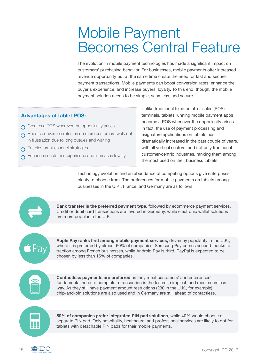### Mobile Payment Becomes Central Feature

The evolution in mobile payment technologies has made a significant impact on customers' purchasing behavior. For businesses, mobile payments offer increased revenue opportunity but at the same time create the need for fast and secure payment transactions. Mobile payments can boost conversion rates, enhance the buyer's experience, and increase buyers' loyalty. To this end, though, the mobile payment solution needs to be simple, seamless, and secure.

#### **Advantages of tablet POS:**

- $\cap$  Creates a POS wherever the opportunity arises
- **O** Boosts conversion rates as no more customers walk out in frustration due to long queues and waiting
- **C** Enables omni-channel strategies
- Enhances customer experience and increases loyalty

Unlike traditional fixed point-of-sales (POS) terminals, tablets running mobile payment apps become a POS whenever the opportunity arises. In fact, the use of payment processing and esignature applications on tablets has dramatically increased in the past couple of years, with all vertical sectors, and not only traditional customer-centric industries, ranking them among the most used on their business tablets.

Technology evolution and an abundance of competing options give enterprises plenty to choose from. The preferences for mobile payments on tablets among businesses in the U.K., France, and Germany are as follows:

**Bank transfer is the preferred payment type,** followed by ecommerce payment services. Credit or debit card transactions are favored in Germany, while electronic wallet solutions are more popular in the U.K.

**Apple Pay ranks first among mobile payment services,** driven by popularity in the U.K., where it is preferred by almost 60% of companies. Samsung Pay comes second thanks to traction among French businesses, while Android Pay is third. PayPal is expected to be chosen by less than 15% of companies.



**Contactless payments are preferred** as they meet customers' and enterprises' fundamental need to complete a transaction in the fastest, simplest, and most seamless way. As they still have payment amount restrictions (£30 in the U.K., for example), chip-and-pin solutions are also used and in Germany are still ahead of contactless.



**50% of companies prefer integrated PIN pad solutions**, while 40% would choose a separate PIN pad. Only hospitality, healthcare, and professional services are likely to opt for tablets with detachable PIN pads for their mobile payments.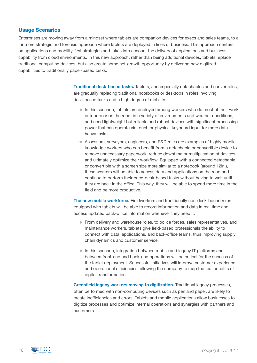#### **Usage Scenarios**

Enterprises are moving away from a mindset where tablets are companion devices for execs and sales teams, to a far more strategic and forensic approach where tablets are deployed in lines of business. This approach centers on applications and mobility-first strategies and takes into account the delivery of applications and business capability from cloud environments. In this new approach, rather than being additional devices, tablets replace traditional computing devices, but also create some net-growth opportunity by delivering new digitized capabilities to traditionally paper-based tasks.

> **Traditional desk-based tasks.** Tablets, and especially detachables and convertibles, are gradually replacing traditional notebooks or desktops in roles involving desk-based tasks and a high degree of mobility.

- $\rightarrow$  In this scenario, tablets are deployed among workers who do most of their work outdoors or on the road, in a variety of environments and weather conditions, and need lightweight but reliable and robust devices with significant processing power that can operate via touch or physical keyboard input for more data heavy tasks.
- $\rightarrow$  Assessors, survevors, engineers, and R&D roles are examples of highly mobile knowledge workers who can benefit from a detachable or convertible device to remove unnecessary paperwork, reduce downtime or multiplication of devices, and ultimately optimize their workflow. Equipped with a connected detachable or convertible with a screen size more similar to a notebook (around 12in.), these workers will be able to access data and applications on the road and continue to perform their once-desk-based tasks without having to wait until they are back in the office. This way, they will be able to spend more time in the field and be more productive.

**The new mobile workforce.** Fieldworkers and traditionally non-desk-bound roles equipped with tablets will be able to record information and data in real time and access updated back-office information whenever they need it.

- $\rightarrow$  From delivery and warehouse roles, to police forces, sales representatives, and maintenance workers, tablets give field-based professionals the ability to connect with data, applications, and back-office teams, thus improving supply chain dynamics and customer service.
- $\rightarrow$  In this scenario, integration between mobile and legacy IT platforms and between front-end and back-end operations will be critical for the success of the tablet deployment. Successful initiatives will improve customer experience and operational efficiencies, allowing the company to reap the real benefits of digital transformation.

**Greenfield legacy workers moving to digitization.** Traditional legacy processes, often performed with non-computing devices such as pen and paper, are likely to create inefficiencies and errors. Tablets and mobile applications allow businesses to digitize processes and optimize internal operations and synergies with partners and customers.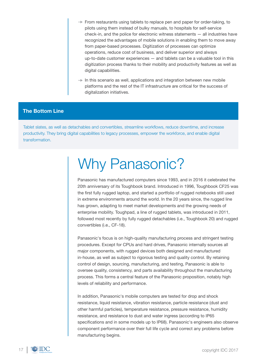- $\rightarrow$  From restaurants using tablets to replace pen and paper for order-taking, to pilots using them instead of bulky manuals, to hospitals for self-service check-in, and the police for electronic witness statements — all industries have recognized the advantages of mobile solutions in enabling them to move away from paper-based processes. Digitization of processes can optimize operations, reduce cost of business, and deliver superior and always up-to-date customer experiences — and tablets can be a valuable tool in this digitization process thanks to their mobility and productivity features as well as digital capabilities.
- $\rightarrow$  In this scenario as well, applications and integration between new mobile platforms and the rest of the IT infrastructure are critical for the success of digitalization initiatives.

#### **The Bottom Line**

Tablet slates, as well as detachables and convertibles, streamline workflows, reduce downtime, and increase productivity. They bring digital capabilities to legacy processes, empower the workforce, and enable digital transformation.

## Why Panasonic?

Panasonic has manufactured computers since 1993, and in 2016 it celebrated the 20th anniversary of its Toughbook brand. Introduced in 1996, Toughbook CF25 was the first fully rugged laptop, and started a portfolio of rugged notebooks still used in extreme environments around the world. In the 20 years since, the rugged line has grown, adapting to meet market developments and the growing needs of enterprise mobility. Toughpad, a line of rugged tablets, was introduced in 2011, followed most recently by fully rugged detachables (i.e., Toughbook 20) and rugged convertibles (i.e., CF-18).

Panasonic's focus is on high-quality manufacturing process and stringent testing procedures. Except for CPUs and hard drives, Panasonic internally sources all major components, with rugged devices both designed and manufactured in-house, as well as subject to rigorous testing and quality control. By retaining control of design, sourcing, manufacturing, and testing, Panasonic is able to oversee quality, consistency, and parts availability throughout the manufacturing process. This forms a central feature of the Panasonic proposition, notably high levels of reliability and performance.

In addition, Panasonic's mobile computers are tested for drop and shock resistance, liquid resistance, vibration resistance, particle resistance (dust and other harmful particles), temperature resistance, pressure resistance, humidity resistance, and resistance to dust and water ingress (according to IP65 specifications and in some models up to IP68). Panasonic's engineers also observe component performance over their full life cycle and correct any problems before manufacturing begins.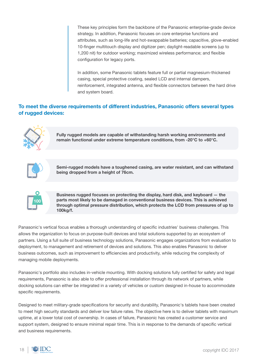These key principles form the backbone of the Panasonic enterprise-grade device strategy. In addition, Panasonic focuses on core enterprise functions and attributes, such as long-life and hot-swappable batteries; capacitive, glove-enabled 10-finger multitouch display and digitizer pen; daylight-readable screens (up to 1,200 nit) for outdoor working; maximized wireless performance; and flexible configuration for legacy ports.

In addition, some Panasonic tablets feature full or partial magnesium-thickened casing, special protective coating, sealed LCD and internal dampers, reinforcement, integrated antenna, and flexible connectors between the hard drive and system board.

#### **To meet the diverse requirements of different industries, Panasonic offers several types of rugged devices:**



**Fully rugged models are capable of withstanding harsh working environments and remain functional under extreme temperature conditions, from -20°C to +60°C.**



**Semi-rugged models have a toughened casing, are water resistant, and can withstand being dropped from a height of 76cm.**

| loc<br>ì. |
|-----------|
|           |

**Business rugged focuses on protecting the display, hard disk, and keyboard — the parts most likely to be damaged in conventional business devices. This is achieved through optimal pressure distribution, which protects the LCD from pressures of up to 100kg/f.**

Panasonic's vertical focus enables a thorough understanding of specific industries' business challenges. This allows the organization to focus on purpose-built devices and total solutions supported by an ecosystem of partners. Using a full suite of business technology solutions, Panasonic engages organizations from evaluation to deployment, to management and retirement of devices and solutions. This also enables Panasonic to deliver business outcomes, such as improvement to efficiencies and productivity, while reducing the complexity of managing mobile deployments.

Panasonic's portfolio also includes in-vehicle mounting. With docking solutions fully certified for safety and legal requirements, Panasonic is also able to offer professional installation through its network of partners, while docking solutions can either be integrated in a variety of vehicles or custom designed in-house to accommodate specific requirements.

Designed to meet military-grade specifications for security and durability, Panasonic's tablets have been created to meet high security standards and deliver low failure rates. The objective here is to deliver tablets with maximum uptime, at a lower total cost of ownership. In cases of failure, Panasonic has created a customer service and support system, designed to ensure minimal repair time. This is in response to the demands of specific vertical and business requirements.

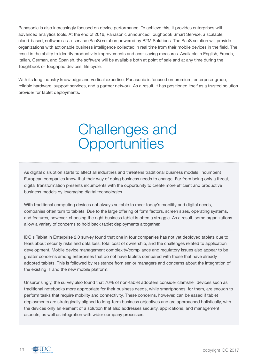Panasonic is also increasingly focused on device performance. To achieve this, it provides enterprises with advanced analytics tools. At the end of 2016, Panasonic announced Toughbook Smart Service, a scalable, cloud-based, software-as-a-service (SaaS) solution powered by B2M Solutions. The SaaS solution will provide organizations with actionable business intelligence collected in real time from their mobile devices in the field. The result is the ability to identify productivity improvements and cost-saving measures. Available in English, French, Italian, German, and Spanish, the software will be available both at point of sale and at any time during the Toughbook or Toughpad devices' life cycle.

With its long industry knowledge and vertical expertise, Panasonic is focused on premium, enterprise-grade, reliable hardware, support services, and a partner network. As a result, it has positioned itself as a trusted solution provider for tablet deployments.

### Challenges and **Opportunities**

As digital disruption starts to affect all industries and threatens traditional business models, incumbent European companies know that their way of doing business needs to change. Far from being only a threat, digital transformation presents incumbents with the opportunity to create more efficient and productive business models by leveraging digital technologies.

With traditional computing devices not always suitable to meet today's mobility and digital needs, companies often turn to tablets. Due to the large offering of form factors, screen sizes, operating systems, and features, however, choosing the right business tablet is often a struggle. As a result, some organizations allow a variety of concerns to hold back tablet deployments altogether.

IDC's Tablet in Enterprise 2.0 survey found that one in four companies has not yet deployed tablets due to fears about security risks and data loss, total cost of ownership, and the challenges related to application development. Mobile device management complexity/compliance and regulatory issues also appear to be greater concerns among enterprises that do not have tablets compared with those that have already adopted tablets. This is followed by resistance from senior managers and concerns about the integration of the existing IT and the new mobile platform.

Unsurprisingly, the survey also found that 70% of non-tablet adopters consider clamshell devices such as traditional notebooks more appropriate for their business needs, while smartphones, for them, are enough to perform tasks that require mobility and connectivity. These concerns, however, can be eased if tablet deployments are strategically aligned to long-term business objectives and are approached holistically, with the devices only an element of a solution that also addresses security, applications, and management aspects, as well as integration with wider company processes.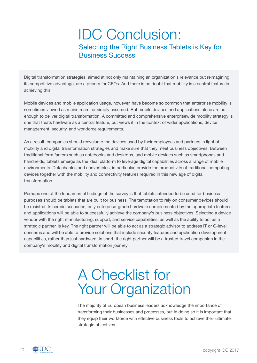### IDC Conclusion: Selecting the Right Business Tablets is Key for Business Success

Digital transformation strategies, aimed at not only maintaining an organization's relevance but reimagining its competitive advantage, are a priority for CEOs. And there is no doubt that mobility is a central feature in achieving this.

Mobile devices and mobile application usage, however, have become so common that enterprise mobility is sometimes viewed as mainstream, or simply assumed. But mobile devices and applications alone are not enough to deliver digital transformation. A committed and comprehensive enterprisewide mobility strategy is one that treats hardware as a central feature, but views it in the context of wider applications, device management, security, and workforce requirements.

As a result, companies should reevaluate the devices used by their employees and partners in light of mobility and digital transformation strategies and make sure that they meet business objectives. Between traditional form factors such as notebooks and desktops, and mobile devices such as smartphones and handhelds, tablets emerge as the ideal platform to leverage digital capabilities across a range of mobile environments. Detachables and convertibles, in particular, provide the productivity of traditional computing devices together with the mobility and connectivity features required in this new age of digital transformation.

Perhaps one of the fundamental findings of the survey is that tablets intended to be used for business purposes should be tablets that are built for business. The temptation to rely on consumer devices should be resisted. In certain scenarios, only enterprise-grade hardware complemented by the appropriate features and applications will be able to successfully achieve the company's business objectives. Selecting a device vendor with the right manufacturing, support, and service capabilities, as well as the ability to act as a strategic partner, is key. The right partner will be able to act as a strategic advisor to address IT or C-level concerns and will be able to provide solutions that include security features and application development capabilities, rather than just hardware. In short, the right partner will be a trusted travel companion in the company's mobility and digital transformation journey.

# A Checklist for Your Organization

The majority of European business leaders acknowledge the importance of transforming their businesses and processes, but in doing so it is important that they equip their workforce with effective business tools to achieve their ultimate strategic objectives.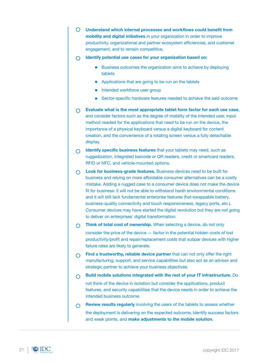- **Understand which internal processes and workflows could benefit from mobility and digital initiatives** in your organization in order to improve productivity, organizational and partner ecosystem efficiencies, and customer engagement, and to remain competitive.
- **Identify potential use cases for your organization based on:**
	- Business outcomes the organization aims to achieve by deploying tablets
	- Applications that are going to be run on the tablets
	- Intended workforce user group
	- Sector-specific hardware features needed to achieve the said outcome
- **Evaluate what is the most appropriate tablet form factor for each use case**, and consider factors such as the degree of mobility of the intended user, input method needed for the applications that need to be run on the device, the importance of a physical keyboard versus a digital keyboard for content creation, and the convenience of a rotating screen versus a fully detachable display.
- **Identify specific business features** that your tablets may need, such as  $\bigcap$ ruggedization, integrated barcode or QR readers, credit or smartcard readers, RFID or NFC, and vehicle-mounted options.
- **Look for business-grade features.** Business devices need to be built for business and relying on more affordable consumer alternatives can be a costly mistake. Adding a rugged case to a consumer device does not make the device fit for business: it will not be able to withstand harsh environmental conditions and it will still lack fundamental enterprise features (hot-swappable battery, business-quality connectivity and touch responsiveness, legacy ports, etc.). Consumer devices may have started the digital revolution but they are not going to deliver on enterprises' digital transformation.
- **Think of total cost of ownership.** When selecting a device, do not only  $\bigcap$ consider the price of the device — factor in the potential hidden costs of lost productivity/profit and repair/replacement costs that subpar devices with higher failure rates are likely to generate.
- **Find a trustworthy, reliable device partner** that can not only offer the right  $\bigcap$ manufacturing, support, and service capabilities but also act as an advisor and strategic partner to achieve your business objectives.
- **Build mobile solutions integrated with the rest of your IT infrastructure.** Do  $\bigcap$ not think of the device in isolation but consider the applications, product features, and security capabilities that the device needs in order to achieve the intended business outcome.
- **Review results regularly** involving the users of the tablets to assess whether  $\bigcap$ the deployment is delivering on the expected outcome, identify success factors and weak points, and **make adjustments to the mobile solution.**